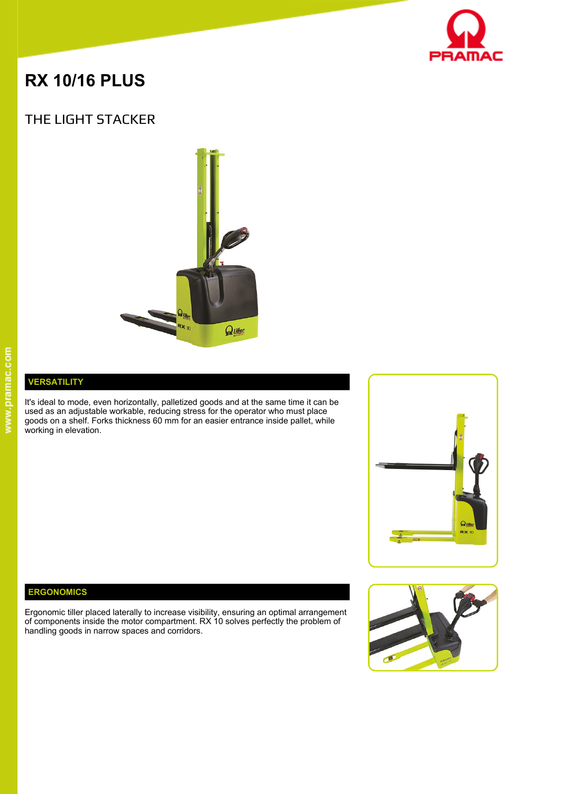

# **RX 10/16 PLUS**

## THE LIGHT STACKER



#### **VERSATILITY**

It's ideal to mode, even horizontally, palletized goods and at the same time it can be used as an adjustable workable, reducing stress for the operator who must place  $\overline{\phantom{a}}$ goods on a shelf. Forks thickness 60 mm for an easier entrance inside pallet, while working in elevation.



#### **ERGONOMICS**

Ergonomic tiller placed laterally to increase visibility, ensuring an optimal arrangement of components inside the motor compartment. RX 10 solves perfectly the problem of handling goods in narrow spaces and corridors.

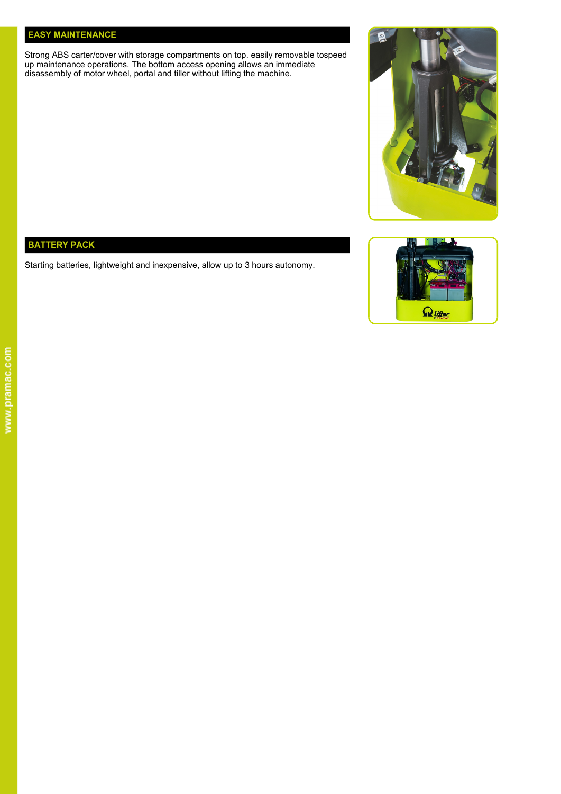#### **EASY MAINTENANCE**

Strong ABS carter/cover with storage compartments on top. easily removable tospeed up maintenance operations. The bottom access opening allows an immediate **the contract of the state of the state** disassembly of motor wheel, portal and tiller without lifting the machine.



### **BATTERY PACK**

Starting batteries, lightweight and inexpensive, allow up to 3 hours autonomy.

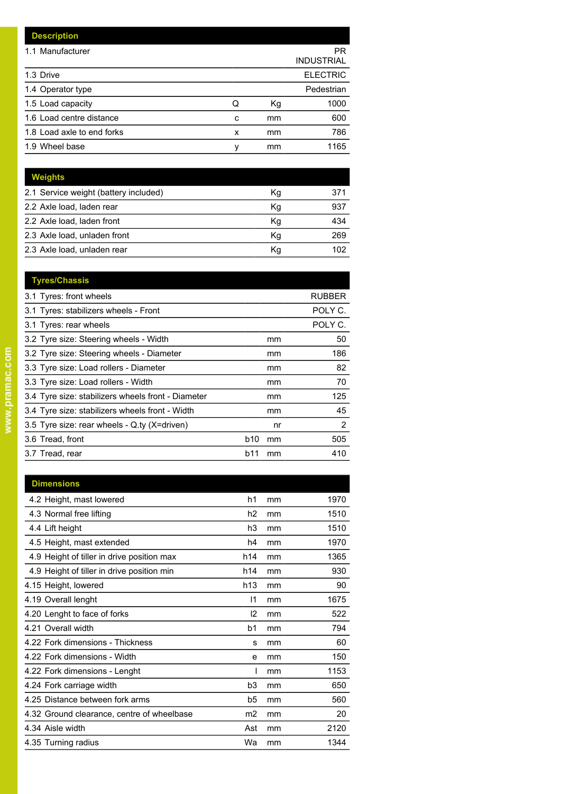| <b>Description</b>         |   |    |                         |
|----------------------------|---|----|-------------------------|
| 1.1 Manufacturer           |   |    | PR<br><b>INDUSTRIAL</b> |
| 1.3 Drive                  |   |    | <b>ELECTRIC</b>         |
| 1.4 Operator type          |   |    | Pedestrian              |
| 1.5 Load capacity          | Q | Кg | 1000                    |
| 1.6 Load centre distance   | C | mm | 600                     |
| 1.8 Load axle to end forks | x | mm | 786                     |
| 1.9 Wheel base             | ٧ | mm | 1165                    |

| <b>Weights</b>                        |    |     |
|---------------------------------------|----|-----|
| 2.1 Service weight (battery included) | Кg | 371 |
| 2.2 Axle load, laden rear             | Κq | 937 |
| 2.2 Axle load, laden front            | Κq | 434 |
| 2.3 Axle load, unladen front          | Κq | 269 |
| 2.3 Axle load, unladen rear           | Kq | 102 |
|                                       |    |     |

| <b>Tyres/Chassis</b>                               |                       |               |
|----------------------------------------------------|-----------------------|---------------|
| 3.1 Tyres: front wheels                            |                       | <b>RUBBER</b> |
| 3.1 Tyres: stabilizers wheels - Front              |                       | POLY C.       |
| 3.1 Tyres: rear wheels                             |                       | POLY C.       |
| 3.2 Tyre size: Steering wheels - Width             | mm                    | 50            |
| 3.2 Tyre size: Steering wheels - Diameter          | mm                    | 186           |
| 3.3 Tyre size: Load rollers - Diameter             | mm                    | 82            |
| 3.3 Tyre size: Load rollers - Width                | mm                    | 70            |
| 3.4 Tyre size: stabilizers wheels front - Diameter | mm                    | 125           |
| 3.4 Tyre size: stabilizers wheels front - Width    | mm                    | 45            |
| 3.5 Tyre size: rear wheels - Q.ty (X=driven)       | nr                    | 2             |
| 3.6 Tread, front                                   | b <sub>10</sub><br>mm | 505           |
| 3.7 Tread, rear                                    | b11<br>mm             | 410           |
|                                                    |                       |               |

| <b>Dimensions</b>                          |                |    |      |
|--------------------------------------------|----------------|----|------|
| 4.2 Height, mast lowered                   | h1             | mm | 1970 |
| 4.3 Normal free lifting                    | h2             | mm | 1510 |
| 4.4 Lift height                            | h3             | mm | 1510 |
| 4.5 Height, mast extended                  | h4             | mm | 1970 |
| 4.9 Height of tiller in drive position max | h14            | mm | 1365 |
| 4.9 Height of tiller in drive position min | h14            | mm | 930  |
| 4.15 Height, lowered                       | h13            | mm | 90   |
| 4.19 Overall lenght                        | $\mathsf{I}$   | mm | 1675 |
| 4.20 Lenght to face of forks               | 12             | mm | 522  |
| 4.21 Overall width                         | b1             | mm | 794  |
| 4.22 Fork dimensions - Thickness           | s              | mm | 60   |
| 4.22 Fork dimensions - Width               | e              | mm | 150  |
| 4.22 Fork dimensions - Lenght              |                | mm | 1153 |
| 4.24 Fork carriage width                   | b <sub>3</sub> | mm | 650  |
| 4.25 Distance between fork arms            | b5             | mm | 560  |
| 4.32 Ground clearance, centre of wheelbase | m <sub>2</sub> | mm | 20   |
| 4.34 Aisle width                           | Ast            | mm | 2120 |
| 4.35 Turning radius                        | Wa             | mm | 1344 |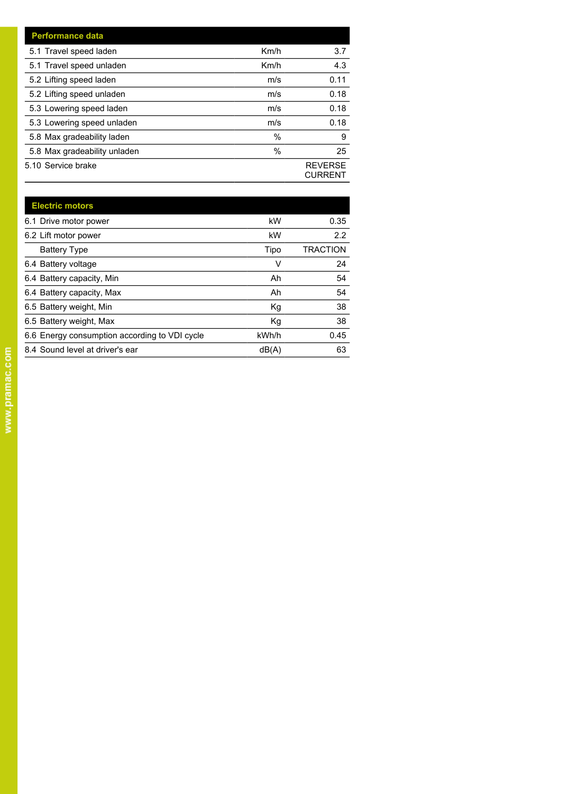| <b>Performance data</b>      |      |                                  |
|------------------------------|------|----------------------------------|
| 5.1 Travel speed laden       | Km/h | 3.7                              |
| 5.1 Travel speed unladen     | Km/h | 4.3                              |
| 5.2 Lifting speed laden      | m/s  | 0.11                             |
| 5.2 Lifting speed unladen    | m/s  | 0.18                             |
| 5.3 Lowering speed laden     | m/s  | 0.18                             |
| 5.3 Lowering speed unladen   | m/s  | 0.18                             |
| 5.8 Max gradeability laden   | $\%$ | 9                                |
| 5.8 Max gradeability unladen | %    | 25                               |
| 5.10 Service brake           |      | <b>REVERSE</b><br><b>CURRENT</b> |

| <b>Electric motors</b>                        |       |                 |
|-----------------------------------------------|-------|-----------------|
| 6.1 Drive motor power                         | kW    | 0.35            |
| 6.2 Lift motor power                          | kW    | 2.2             |
| <b>Battery Type</b>                           | Tipo  | <b>TRACTION</b> |
| 6.4 Battery voltage                           | v     | 24              |
| 6.4 Battery capacity, Min                     | Ah    | 54              |
| 6.4 Battery capacity, Max                     | Ah    | 54              |
| 6.5 Battery weight, Min                       | Kg    | 38              |
| 6.5 Battery weight, Max                       | Kg    | 38              |
| 6.6 Energy consumption according to VDI cycle | kWh/h | 0.45            |
| 8.4 Sound level at driver's ear               | dB(A) | 63              |